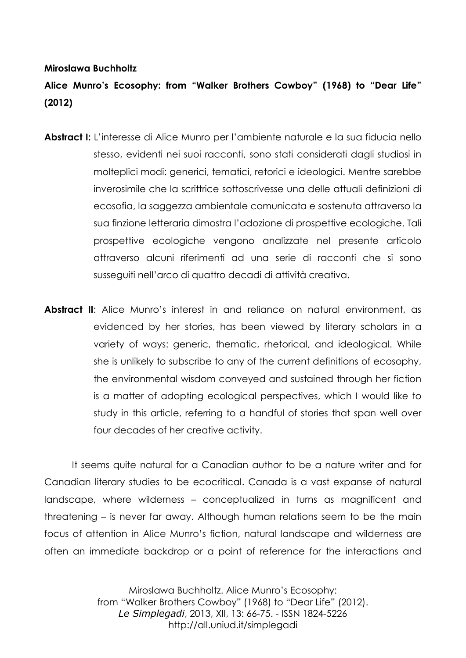## **Miroslawa Buchholtz**

## **Alice Munro's Ecosophy: from "Walker Brothers Cowboy" (1968) to "Dear Life" (2012)**

- **Abstract I:** L'interesse di Alice Munro per l'ambiente naturale e la sua fiducia nello stesso, evidenti nei suoi racconti, sono stati considerati dagli studiosi in molteplici modi: generici, tematici, retorici e ideologici. Mentre sarebbe inverosimile che la scrittrice sottoscrivesse una delle attuali definizioni di ecosofia, la saggezza ambientale comunicata e sostenuta attraverso la sua finzione letteraria dimostra l'adozione di prospettive ecologiche. Tali prospettive ecologiche vengono analizzate nel presente articolo attraverso alcuni riferimenti ad una serie di racconti che si sono susseguiti nell'arco di quattro decadi di attività creativa.
- **Abstract II**: Alice Munro's interest in and reliance on natural environment, as evidenced by her stories, has been viewed by literary scholars in a variety of ways: generic, thematic, rhetorical, and ideological. While she is unlikely to subscribe to any of the current definitions of ecosophy, the environmental wisdom conveyed and sustained through her fiction is a matter of adopting ecological perspectives, which I would like to study in this article, referring to a handful of stories that span well over four decades of her creative activity.

It seems quite natural for a Canadian author to be a nature writer and for Canadian literary studies to be ecocritical. Canada is a vast expanse of natural landscape, where wilderness – conceptualized in turns as magnificent and threatening – is never far away. Although human relations seem to be the main focus of attention in Alice Munro's fiction, natural landscape and wilderness are often an immediate backdrop or a point of reference for the interactions and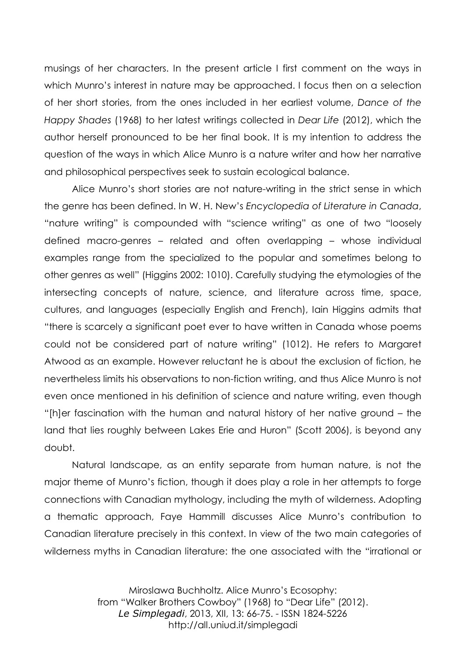musings of her characters. In the present article I first comment on the ways in which Munro's interest in nature may be approached. I focus then on a selection of her short stories, from the ones included in her earliest volume, *Dance of the Happy Shades* (1968) to her latest writings collected in *Dear Life* (2012), which the author herself pronounced to be her final book. It is my intention to address the question of the ways in which Alice Munro is a nature writer and how her narrative and philosophical perspectives seek to sustain ecological balance.

Alice Munro's short stories are not nature-writing in the strict sense in which the genre has been defined. In W. H. New's *Encyclopedia of Literature in Canada*, "nature writing" is compounded with "science writing" as one of two "loosely defined macro-genres – related and often overlapping – whose individual examples range from the specialized to the popular and sometimes belong to other genres as well" (Higgins 2002: 1010). Carefully studying the etymologies of the intersecting concepts of nature, science, and literature across time, space, cultures, and languages (especially English and French), Iain Higgins admits that "there is scarcely a significant poet ever to have written in Canada whose poems could not be considered part of nature writing" (1012). He refers to Margaret Atwood as an example. However reluctant he is about the exclusion of fiction, he nevertheless limits his observations to non-fiction writing, and thus Alice Munro is not even once mentioned in his definition of science and nature writing, even though "[h]er fascination with the human and natural history of her native ground – the land that lies roughly between Lakes Erie and Huron" (Scott 2006), is beyond any doubt.

Natural landscape, as an entity separate from human nature, is not the major theme of Munro's fiction, though it does play a role in her attempts to forge connections with Canadian mythology, including the myth of wilderness. Adopting a thematic approach, Faye Hammill discusses Alice Munro's contribution to Canadian literature precisely in this context. In view of the two main categories of wilderness myths in Canadian literature: the one associated with the "irrational or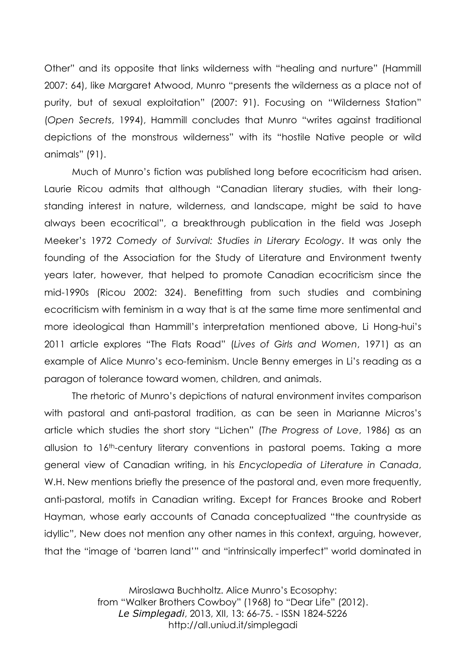Other" and its opposite that links wilderness with "healing and nurture" (Hammill 2007: 64), like Margaret Atwood, Munro "presents the wilderness as a place not of purity, but of sexual exploitation" (2007: 91). Focusing on "Wilderness Station" (*Open Secrets*, 1994), Hammill concludes that Munro "writes against traditional depictions of the monstrous wilderness" with its "hostile Native people or wild animals" (91).

Much of Munro's fiction was published long before ecocriticism had arisen. Laurie Ricou admits that although "Canadian literary studies, with their longstanding interest in nature, wilderness, and landscape, might be said to have always been ecocritical", a breakthrough publication in the field was Joseph Meeker's 1972 *Comedy of Survival: Studies in Literary Ecology*. It was only the founding of the Association for the Study of Literature and Environment twenty years later, however, that helped to promote Canadian ecocriticism since the mid-1990s (Ricou 2002: 324). Benefitting from such studies and combining ecocriticism with feminism in a way that is at the same time more sentimental and more ideological than Hammill's interpretation mentioned above, Li Hong-hui's 2011 article explores "The Flats Road" (*Lives of Girls and Women*, 1971) as an example of Alice Munro's eco-feminism. Uncle Benny emerges in Li's reading as a paragon of tolerance toward women, children, and animals.

The rhetoric of Munro's depictions of natural environment invites comparison with pastoral and anti-pastoral tradition, as can be seen in Marianne Micros's article which studies the short story "Lichen" (*The Progress of Love*, 1986) as an allusion to 16th-century literary conventions in pastoral poems. Taking a more general view of Canadian writing, in his *Encyclopedia of Literature in Canada*, W.H. New mentions briefly the presence of the pastoral and, even more frequently, anti-pastoral, motifs in Canadian writing. Except for Frances Brooke and Robert Hayman, whose early accounts of Canada conceptualized "the countryside as idyllic", New does not mention any other names in this context, arguing, however, that the "image of 'barren land'" and "intrinsically imperfect" world dominated in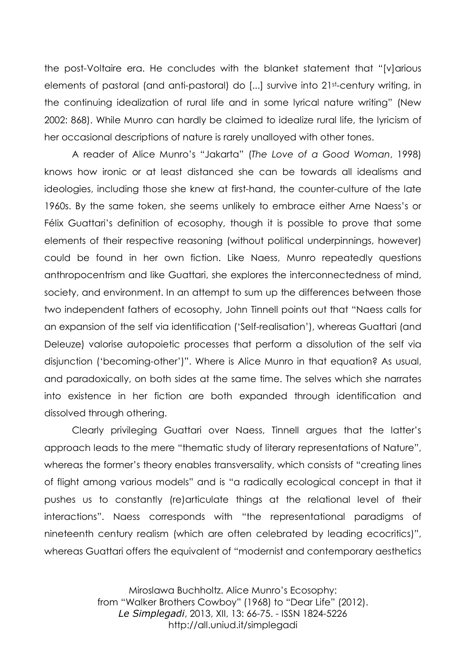the post-Voltaire era. He concludes with the blanket statement that "[v]arious elements of pastoral (and anti-pastoral) do [...] survive into 21st-century writing, in the continuing idealization of rural life and in some lyrical nature writing" (New 2002: 868). While Munro can hardly be claimed to idealize rural life, the lyricism of her occasional descriptions of nature is rarely unalloyed with other tones.

A reader of Alice Munro's "Jakarta" (*The Love of a Good Woman*, 1998) knows how ironic or at least distanced she can be towards all idealisms and ideologies, including those she knew at first-hand, the counter-culture of the late 1960s. By the same token, she seems unlikely to embrace either Arne Naess's or Félix Guattari's definition of ecosophy, though it is possible to prove that some elements of their respective reasoning (without political underpinnings, however) could be found in her own fiction. Like Naess, Munro repeatedly questions anthropocentrism and like Guattari, she explores the interconnectedness of mind, society, and environment. In an attempt to sum up the differences between those two independent fathers of ecosophy, John Tinnell points out that "Naess calls for an expansion of the self via identification ('Self-realisation'), whereas Guattari (and Deleuze) valorise autopoietic processes that perform a dissolution of the self via disjunction ('becoming-other')". Where is Alice Munro in that equation? As usual, and paradoxically, on both sides at the same time. The selves which she narrates into existence in her fiction are both expanded through identification and dissolved through othering.

Clearly privileging Guattari over Naess, Tinnell argues that the latter's approach leads to the mere "thematic study of literary representations of Nature", whereas the former's theory enables transversality, which consists of "creating lines of flight among various models" and is "a radically ecological concept in that it pushes us to constantly (re)articulate things at the relational level of their interactions". Naess corresponds with "the representational paradigms of nineteenth century realism (which are often celebrated by leading ecocritics)", whereas Guattari offers the equivalent of "modernist and contemporary aesthetics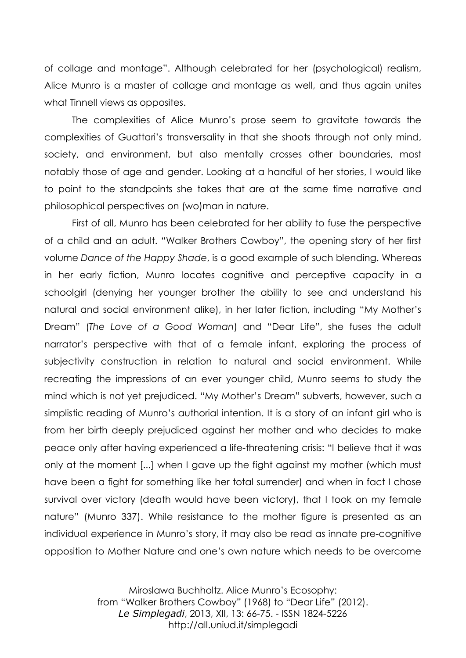of collage and montage". Although celebrated for her (psychological) realism, Alice Munro is a master of collage and montage as well, and thus again unites what Tinnell views as opposites.

The complexities of Alice Munro's prose seem to gravitate towards the complexities of Guattari's transversality in that she shoots through not only mind, society, and environment, but also mentally crosses other boundaries, most notably those of age and gender. Looking at a handful of her stories, I would like to point to the standpoints she takes that are at the same time narrative and philosophical perspectives on (wo)man in nature.

First of all, Munro has been celebrated for her ability to fuse the perspective of a child and an adult. "Walker Brothers Cowboy", the opening story of her first volume *Dance of the Happy Shade*, is a good example of such blending. Whereas in her early fiction, Munro locates cognitive and perceptive capacity in a schoolgirl (denying her younger brother the ability to see and understand his natural and social environment alike), in her later fiction, including "My Mother's Dream" (*The Love of a Good Woman*) and "Dear Life", she fuses the adult narrator's perspective with that of a female infant, exploring the process of subjectivity construction in relation to natural and social environment. While recreating the impressions of an ever younger child, Munro seems to study the mind which is not yet prejudiced. "My Mother's Dream" subverts, however, such a simplistic reading of Munro's authorial intention. It is a story of an infant girl who is from her birth deeply prejudiced against her mother and who decides to make peace only after having experienced a life-threatening crisis: "I believe that it was only at the moment [...] when I gave up the fight against my mother (which must have been a fight for something like her total surrender) and when in fact I chose survival over victory (death would have been victory), that I took on my female nature" (Munro 337). While resistance to the mother figure is presented as an individual experience in Munro's story, it may also be read as innate pre-cognitive opposition to Mother Nature and one's own nature which needs to be overcome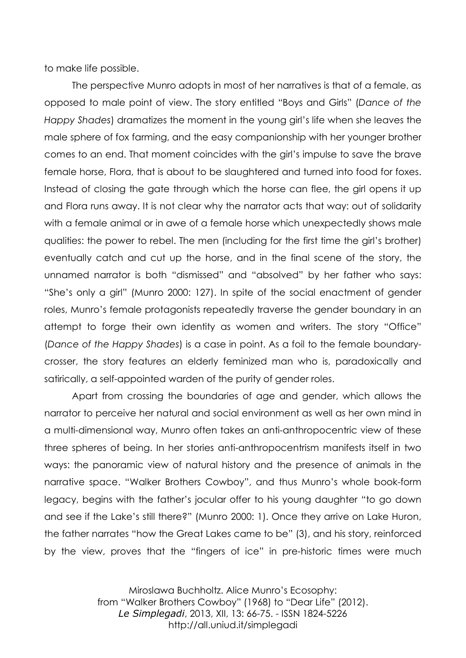to make life possible.

The perspective Munro adopts in most of her narratives is that of a female, as opposed to male point of view. The story entitled "Boys and Girls" (*Dance of the Happy Shades*) dramatizes the moment in the young girl's life when she leaves the male sphere of fox farming, and the easy companionship with her younger brother comes to an end. That moment coincides with the girl's impulse to save the brave female horse, Flora, that is about to be slaughtered and turned into food for foxes. Instead of closing the gate through which the horse can flee, the girl opens it up and Flora runs away. It is not clear why the narrator acts that way: out of solidarity with a female animal or in awe of a female horse which unexpectedly shows male qualities: the power to rebel. The men (including for the first time the girl's brother) eventually catch and cut up the horse, and in the final scene of the story, the unnamed narrator is both "dismissed" and "absolved" by her father who says: "She's only a girl" (Munro 2000: 127). In spite of the social enactment of gender roles, Munro's female protagonists repeatedly traverse the gender boundary in an attempt to forge their own identity as women and writers. The story "Office" (*Dance of the Happy Shades*) is a case in point. As a foil to the female boundarycrosser, the story features an elderly feminized man who is, paradoxically and satirically, a self-appointed warden of the purity of gender roles.

Apart from crossing the boundaries of age and gender, which allows the narrator to perceive her natural and social environment as well as her own mind in a multi-dimensional way, Munro often takes an anti-anthropocentric view of these three spheres of being. In her stories anti-anthropocentrism manifests itself in two ways: the panoramic view of natural history and the presence of animals in the narrative space. "Walker Brothers Cowboy", and thus Munro's whole book-form legacy, begins with the father's jocular offer to his young daughter "to go down and see if the Lake's still there?" (Munro 2000: 1). Once they arrive on Lake Huron, the father narrates "how the Great Lakes came to be" (3), and his story, reinforced by the view, proves that the "fingers of ice" in pre-historic times were much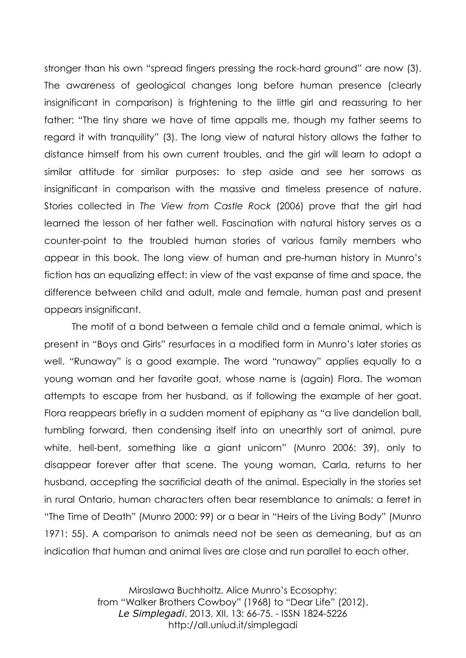stronger than his own "spread fingers pressing the rock-hard ground" are now (3). The awareness of geological changes long before human presence (clearly insignificant in comparison) is frightening to the little girl and reassuring to her father: "The tiny share we have of time appalls me, though my father seems to regard it with tranquility" (3). The long view of natural history allows the father to distance himself from his own current troubles, and the girl will learn to adopt a similar attitude for similar purposes: to step aside and see her sorrows as insignificant in comparison with the massive and timeless presence of nature. Stories collected in *The View from Castle Rock* (2006) prove that the girl had learned the lesson of her father well. Fascination with natural history serves as a counter-point to the troubled human stories of various family members who appear in this book. The long view of human and pre-human history in Munro's fiction has an equalizing effect: in view of the vast expanse of time and space, the difference between child and adult, male and female, human past and present appears insignificant.

The motif of a bond between a female child and a female animal, which is present in "Boys and Girls" resurfaces in a modified form in Munro's later stories as well. "Runaway" is a good example. The word "runaway" applies equally to a young woman and her favorite goat, whose name is (again) Flora. The woman attempts to escape from her husband, as if following the example of her goat. Flora reappears briefly in a sudden moment of epiphany as "a live dandelion ball, tumbling forward, then condensing itself into an unearthly sort of animal, pure white, hell-bent, something like a giant unicorn" (Munro 2006: 39), only to disappear forever after that scene. The young woman, Carla, returns to her husband, accepting the sacrificial death of the animal. Especially in the stories set in rural Ontario, human characters often bear resemblance to animals: a ferret in "The Time of Death" (Munro 2000: 99) or a bear in "Heirs of the Living Body" (Munro 1971: 55). A comparison to animals need not be seen as demeaning, but as an indication that human and animal lives are close and run parallel to each other.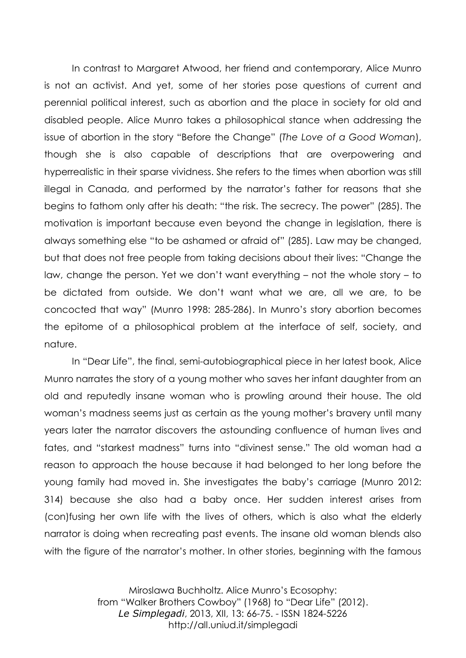In contrast to Margaret Atwood, her friend and contemporary, Alice Munro is not an activist. And yet, some of her stories pose questions of current and perennial political interest, such as abortion and the place in society for old and disabled people. Alice Munro takes a philosophical stance when addressing the issue of abortion in the story "Before the Change" (*The Love of a Good Woman*), though she is also capable of descriptions that are overpowering and hyperrealistic in their sparse vividness. She refers to the times when abortion was still illegal in Canada, and performed by the narrator's father for reasons that she begins to fathom only after his death: "the risk. The secrecy. The power" (285). The motivation is important because even beyond the change in legislation, there is always something else "to be ashamed or afraid of" (285). Law may be changed, but that does not free people from taking decisions about their lives: "Change the law, change the person. Yet we don't want everything – not the whole story – to be dictated from outside. We don't want what we are, all we are, to be concocted that way" (Munro 1998: 285-286). In Munro's story abortion becomes the epitome of a philosophical problem at the interface of self, society, and nature.

In "Dear Life", the final, semi-autobiographical piece in her latest book, Alice Munro narrates the story of a young mother who saves her infant daughter from an old and reputedly insane woman who is prowling around their house. The old woman's madness seems just as certain as the young mother's bravery until many years later the narrator discovers the astounding confluence of human lives and fates, and "starkest madness" turns into "divinest sense." The old woman had a reason to approach the house because it had belonged to her long before the young family had moved in. She investigates the baby's carriage (Munro 2012: 314) because she also had a baby once. Her sudden interest arises from (con)fusing her own life with the lives of others, which is also what the elderly narrator is doing when recreating past events. The insane old woman blends also with the figure of the narrator's mother. In other stories, beginning with the famous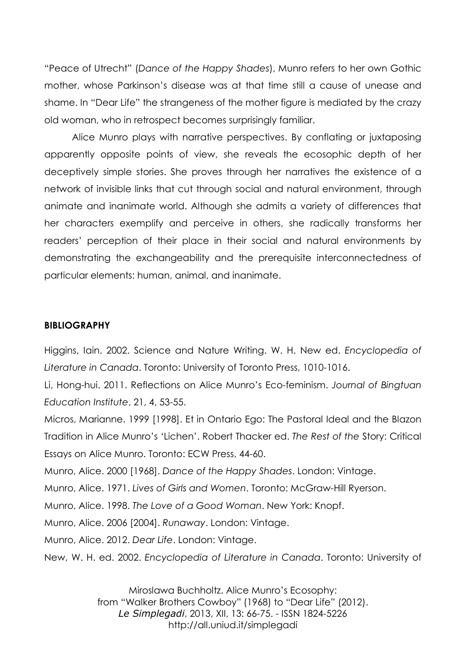"Peace of Utrecht" (*Dance of the Happy Shades*), Munro refers to her own Gothic mother, whose Parkinson's disease was at that time still a cause of unease and shame. In "Dear Life" the strangeness of the mother figure is mediated by the crazy old woman, who in retrospect becomes surprisingly familiar.

Alice Munro plays with narrative perspectives. By conflating or juxtaposing apparently opposite points of view, she reveals the ecosophic depth of her deceptively simple stories. She proves through her narratives the existence of a network of invisible links that cut through social and natural environment, through animate and inanimate world. Although she admits a variety of differences that her characters exemplify and perceive in others, she radically transforms her readers' perception of their place in their social and natural environments by demonstrating the exchangeability and the prerequisite interconnectedness of particular elements: human, animal, and inanimate.

## **BIBLIOGRAPHY**

Higgins, Iain. 2002. Science and Nature Writing. W. H. New ed. *Encyclopedia of Literature in Canada*. Toronto: University of Toronto Press, 1010-1016.

Li, Hong-hui. 2011. Reflections on Alice Munro's Eco-feminism. *Journal of Bingtuan Education Institute*, 21, 4, 53-55.

Micros, Marianne. 1999 [1998]. Et in Ontario Ego: The Pastoral Ideal and the Blazon Tradition in Alice Munro's 'Lichen'. Robert Thacker ed. *The Rest of the* Story: Critical Essays on Alice Munro. Toronto: ECW Press, 44-60.

Munro, Alice. 2000 [1968]. *Dance of the Happy Shades*. London: Vintage.

Munro, Alice. 1971. *Lives of Girls and Women*. Toronto: McGraw-Hill Ryerson.

Munro, Alice. 1998. *The Love of a Good Woman*. New York: Knopf.

Munro, Alice. 2006 [2004]. *Runaway*. London: Vintage.

Munro, Alice. 2012. *Dear Life*. London: Vintage.

New, W. H. ed. 2002. *Encyclopedia of Literature in Canada*. Toronto: University of